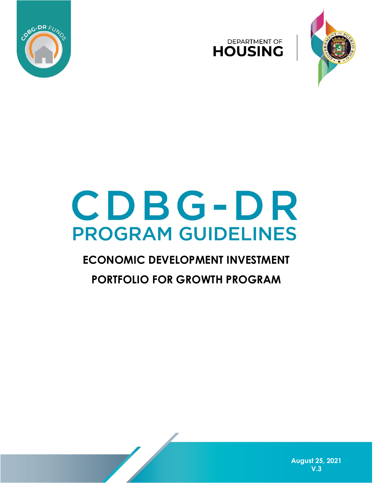





# CDBG-DR **PROGRAM GUIDELINES**

# **ECONOMIC DEVELOPMENT INVESTMENT**

## **PORTFOLIO FOR GROWTH PROGRAM**

**August 25, 2021 V.3**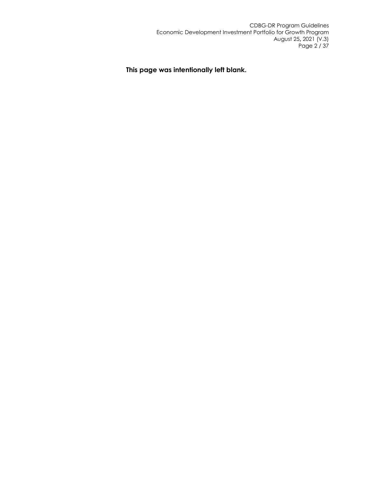**This page was intentionally left blank.**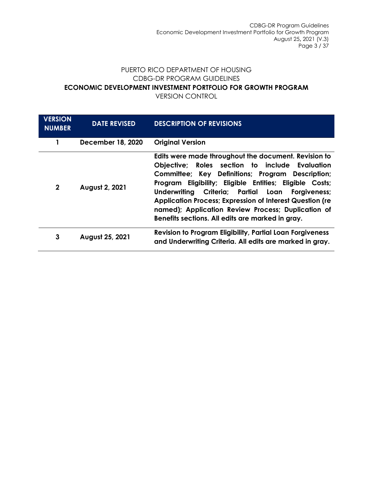## PUERTO RICO DEPARTMENT OF HOUSING CDBG-DR PROGRAM GUIDELINES **ECONOMIC DEVELOPMENT INVESTMENT PORTFOLIO FOR GROWTH PROGRAM**

VERSION CONTROL

| <b>VERSION</b><br><b>NUMBER</b> | <b>DATE REVISED</b>      | <b>DESCRIPTION OF REVISIONS</b>                                                                                                                                                                                                                                                                                                                                                                                                                           |
|---------------------------------|--------------------------|-----------------------------------------------------------------------------------------------------------------------------------------------------------------------------------------------------------------------------------------------------------------------------------------------------------------------------------------------------------------------------------------------------------------------------------------------------------|
|                                 | <b>December 18, 2020</b> | <b>Original Version</b>                                                                                                                                                                                                                                                                                                                                                                                                                                   |
| $\mathbf{2}$                    | <b>August 2, 2021</b>    | Edits were made throughout the document. Revision to<br>Objective: Roles section to include Evaluation<br>Committee; Key Definitions; Program Description;<br>Eligibility; Eligible Entities; Eligible Costs;<br>Program<br>Underwriting Criteria; Partial Loan Forgiveness;<br><b>Application Process; Expression of Interest Question (re</b><br>named); Application Review Process; Duplication of<br>Benefits sections. All edits are marked in gray. |
| 3                               | August 25, 2021          | <b>Revision to Program Eligibility, Partial Loan Forgiveness</b><br>and Underwriting Criteria. All edits are marked in gray.                                                                                                                                                                                                                                                                                                                              |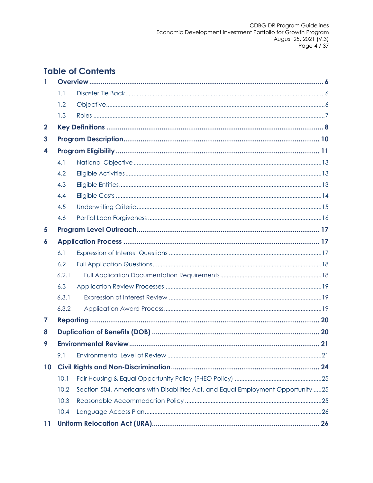## **Table of Contents**

|             | 1.1   |                                                                                   |
|-------------|-------|-----------------------------------------------------------------------------------|
|             | 1.2   |                                                                                   |
|             | 1.3   |                                                                                   |
| $\mathbf 2$ |       |                                                                                   |
| 3           |       |                                                                                   |
| 4           |       |                                                                                   |
|             | 4.1   |                                                                                   |
|             | 4.2   |                                                                                   |
|             | 4.3   |                                                                                   |
|             | 4.4   |                                                                                   |
|             | 4.5   |                                                                                   |
|             | 4.6   |                                                                                   |
| 5           |       |                                                                                   |
| 6           |       |                                                                                   |
|             | 6.1   |                                                                                   |
|             | 6.2   |                                                                                   |
|             | 6.2.1 |                                                                                   |
|             | 6.3   |                                                                                   |
|             | 6.3.1 |                                                                                   |
|             | 6.3.2 |                                                                                   |
| 7           |       |                                                                                   |
| 8           |       |                                                                                   |
| 9           |       |                                                                                   |
|             | 9.1   |                                                                                   |
| 10          |       |                                                                                   |
|             | 10.1  |                                                                                   |
|             | 10.2  | Section 504, Americans with Disabilities Act, and Equal Employment Opportunity 25 |
|             | 10.3  |                                                                                   |
|             | 10.4  |                                                                                   |
| 11          |       |                                                                                   |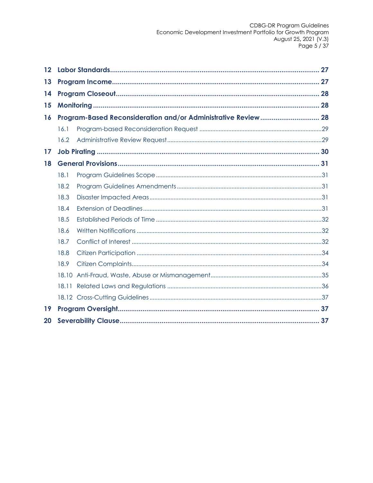| 12 |                                                               |  |  |
|----|---------------------------------------------------------------|--|--|
| 13 |                                                               |  |  |
| 14 |                                                               |  |  |
| 15 |                                                               |  |  |
| 16 | Program-Based Reconsideration and/or Administrative Review 28 |  |  |
|    | 16.1                                                          |  |  |
|    | 16.2                                                          |  |  |
| 17 |                                                               |  |  |
| 18 |                                                               |  |  |
|    | 18.1                                                          |  |  |
|    | 18.2                                                          |  |  |
|    | 18.3                                                          |  |  |
|    | 18.4                                                          |  |  |
|    | 18.5                                                          |  |  |
|    | 18.6                                                          |  |  |
|    | 18.7                                                          |  |  |
|    | 18.8                                                          |  |  |
|    | 18.9                                                          |  |  |
|    | 18.10                                                         |  |  |
|    | 18.11                                                         |  |  |
|    |                                                               |  |  |
| 19 |                                                               |  |  |
| 20 |                                                               |  |  |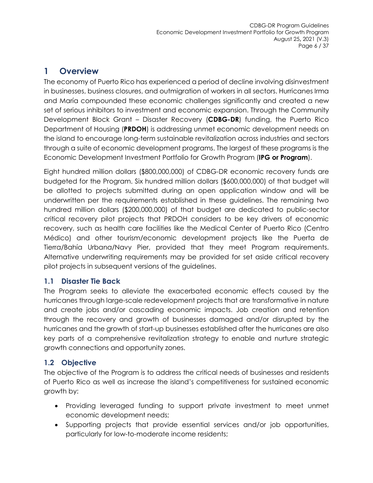## <span id="page-5-0"></span>**1 Overview**

The economy of Puerto Rico has experienced a period of decline involving disinvestment in businesses, business closures, and outmigration of workers in all sectors. Hurricanes Irma and María compounded these economic challenges significantly and created a new set of serious inhibitors to investment and economic expansion. Through the Community Development Block Grant – Disaster Recovery (**CDBG-DR**) funding, the Puerto Rico Department of Housing (**PRDOH**) is addressing unmet economic development needs on the island to encourage long-term sustainable revitalization across industries and sectors through a suite of economic development programs. The largest of these programs is the Economic Development Investment Portfolio for Growth Program (**IPG or Program**).

Eight hundred million dollars (\$800,000,000) of CDBG-DR economic recovery funds are budgeted for the Program. Six hundred million dollars (\$600,000,000) of that budget will be allotted to projects submitted during an open application window and will be underwritten per the requirements established in these guidelines. The remaining two hundred million dollars (\$200,000,000) of that budget are dedicated to public-sector critical recovery pilot projects that PRDOH considers to be key drivers of economic recovery, such as health care facilities like the Medical Center of Puerto Rico (Centro Médico) and other tourism/economic development projects like the Puerta de Tierra/Bahía Urbana/Navy Pier, provided that they meet Program requirements. Alternative underwriting requirements may be provided for set aside critical recovery pilot projects in subsequent versions of the guidelines.

#### <span id="page-5-1"></span>**1.1 Disaster Tie Back**

The Program seeks to alleviate the exacerbated economic effects caused by the hurricanes through large-scale redevelopment projects that are transformative in nature and create jobs and/or cascading economic impacts. Job creation and retention through the recovery and growth of businesses damaged and/or disrupted by the hurricanes and the growth of start-up businesses established after the hurricanes are also key parts of a comprehensive revitalization strategy to enable and nurture strategic growth connections and opportunity zones.

#### <span id="page-5-2"></span>**1.2 Objective**

The objective of the Program is to address the critical needs of businesses and residents of Puerto Rico as well as increase the island's competitiveness for sustained economic growth by:

- Providing leveraged funding to support private investment to meet unmet economic development needs;
- Supporting projects that provide essential services and/or job opportunities, particularly for low-to-moderate income residents;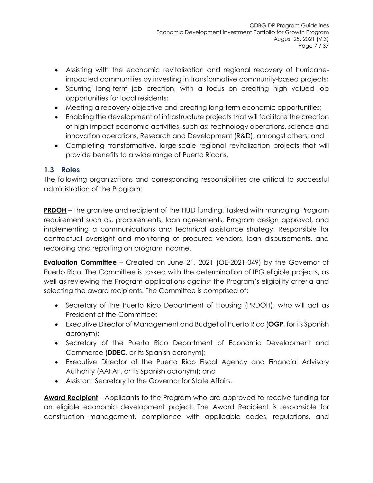- Assisting with the economic revitalization and regional recovery of hurricaneimpacted communities by investing in transformative community-based projects;
- Spurring long-term job creation, with a focus on creating high valued job opportunities for local residents;
- Meeting a recovery objective and creating long-term economic opportunities;
- Enabling the development of infrastructure projects that will facilitate the creation of high impact economic activities, such as: technology operations, science and innovation operations, Research and Development (R&D), amongst others; and
- Completing transformative, large-scale regional revitalization projects that will provide benefits to a wide range of Puerto Ricans.

#### <span id="page-6-0"></span>**1.3 Roles**

The following organizations and corresponding responsibilities are critical to successful administration of the Program:

**PRDOH** – The grantee and recipient of the HUD funding. Tasked with managing Program requirement such as, procurements, loan agreements, Program design approval, and implementing a communications and technical assistance strategy. Responsible for contractual oversight and monitoring of procured vendors, loan disbursements, and recording and reporting on program income.

**Evaluation Committee** – Created on June 21, 2021 (OE-2021-049) by the Governor of Puerto Rico. The Committee is tasked with the determination of IPG eligible projects, as well as reviewing the Program applications against the Program's eligibility criteria and selecting the award recipients. The Committee is comprised of:

- Secretary of the Puerto Rico Department of Housing (PRDOH), who will act as President of the Committee;
- Executive Director of Management and Budget of Puerto Rico (**OGP**, for its Spanish acronym);
- Secretary of the Puerto Rico Department of Economic Development and Commerce (**DDEC**, or its Spanish acronym);
- Executive Director of the Puerto Rico Fiscal Agency and Financial Advisory Authority (AAFAF, or its Spanish acronym); and
- Assistant Secretary to the Governor for State Affairs.

**Award Recipient** - Applicants to the Program who are approved to receive funding for an eligible economic development project. The Award Recipient is responsible for construction management, compliance with applicable codes, regulations, and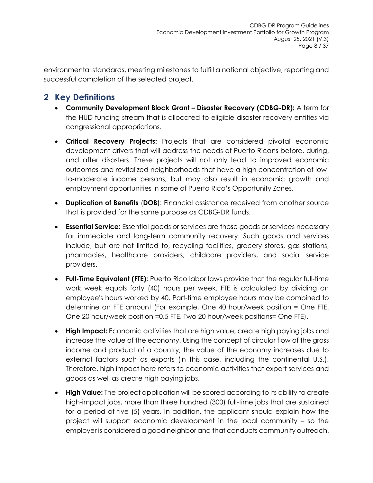environmental standards, meeting milestones to fulfill a national objective, reporting and successful completion of the selected project.

## <span id="page-7-0"></span>**2 Key Definitions**

- **Community Development Block Grant – Disaster Recovery (CDBG-DR):** A term for the HUD funding stream that is allocated to eligible disaster recovery entities via congressional appropriations.
- **Critical Recovery Projects:** Projects that are considered pivotal economic development drivers that will address the needs of Puerto Ricans before, during, and after disasters. These projects will not only lead to improved economic outcomes and revitalized neighborhoods that have a high concentration of lowto-moderate income persons, but may also result in economic growth and employment opportunities in some of Puerto Rico's Opportunity Zones.
- **Duplication of Benefits** (**DOB**): Financial assistance received from another source that is provided for the same purpose as CDBG-DR funds.
- **Essential Service:** Essential goods or services are those goods or services necessary for immediate and long-term community recovery. Such goods and services include, but are not limited to, recycling facilities, grocery stores, gas stations, pharmacies, healthcare providers, childcare providers, and social service providers.
- **Full-Time Equivalent (FTE):** Puerto Rico labor laws provide that the regular full-time work week equals forty (40) hours per week. FTE is calculated by dividing an employee's hours worked by 40. Part-time employee hours may be combined to determine an FTE amount (For example, One 40 hour/week position = One FTE. One 20 hour/week position =0.5 FTE. Two 20 hour/week positions= One FTE).
- **High Impact:** Economic activities that are high value, create high paying jobs and increase the value of the economy. Using the concept of circular flow of the gross income and product of a country, the value of the economy increases due to external factors such as exports (in this case, including the continental U.S.). Therefore, high impact here refers to economic activities that export services and goods as well as create high paying jobs.
- **High Value:** The project application will be scored according to its ability to create high-impact jobs, more than three hundred (300) full-time jobs that are sustained for a period of five (5) years. In addition, the applicant should explain how the project will support economic development in the local community – so the employer is considered a good neighbor and that conducts community outreach.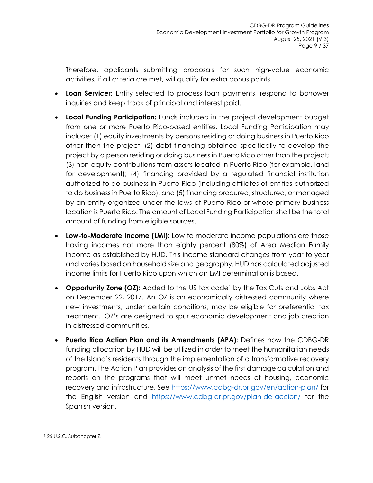Therefore, applicants submitting proposals for such high-value economic activities, if all criteria are met, will qualify for extra bonus points.

- **Loan Servicer:** Entity selected to process loan payments, respond to borrower inquiries and keep track of principal and interest paid.
- **Local Funding Participation:** Funds included in the project development budget from one or more Puerto Rico-based entities. Local Funding Participation may include: (1) equity investments by persons residing or doing business in Puerto Rico other than the project; (2) debt financing obtained specifically to develop the project by a person residing or doing business in Puerto Rico other than the project; (3) non-equity contributions from assets located in Puerto Rico (for example, land for development); (4) financing provided by a regulated financial institution authorized to do business in Puerto Rico (including affiliates of entities authorized to do business in Puerto Rico); and (5) financing procured, structured, or managed by an entity organized under the laws of Puerto Rico or whose primary business location is Puerto Rico. The amount of Local Funding Participation shall be the total amount of funding from eligible sources.
- **Low-to-Moderate Income (LMI):** Low to moderate income populations are those having incomes not more than eighty percent (80%) of Area Median Family Income as established by HUD. This income standard changes from year to year and varies based on household size and geography. HUD has calculated adjusted income limits for Puerto Rico upon which an LMI determination is based.
- **Opportunity Zone (OZ):** Added to the US tax code[1](#page-8-0) by the Tax Cuts and Jobs Act on December 22, 2017. An OZ is an economically distressed community where new investments, under certain conditions, may be eligible for preferential tax treatment. OZ's are designed to spur economic development and job creation in distressed communities.
- **Puerto Rico Action Plan and its Amendments (APA):** Defines how the CDBG-DR funding allocation by HUD will be utilized in order to meet the humanitarian needs of the Island's residents through the implementation of a transformative recovery program. The Action Plan provides an analysis of the first damage calculation and reports on the programs that will meet unmet needs of housing, economic recovery and infrastructure. See<https://www.cdbg-dr.pr.gov/en/action-plan/> for the English version and <https://www.cdbg-dr.pr.gov/plan-de-accion/> for the Spanish version.

<span id="page-8-0"></span> <sup>1</sup> 26 U.S.C. Subchapter Z.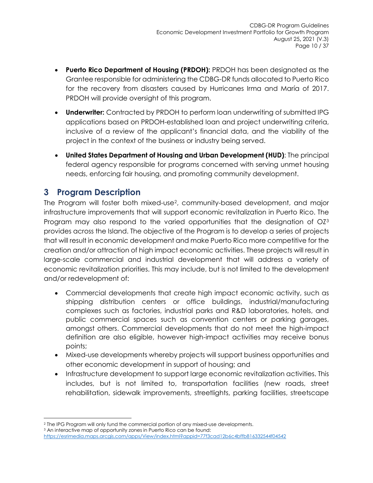- **Puerto Rico Department of Housing (PRDOH):** PRDOH has been designated as the Grantee responsible for administering the CDBG-DR funds allocated to Puerto Rico for the recovery from disasters caused by Hurricanes Irma and María of 2017. PRDOH will provide oversight of this program.
- **Underwriter:** Contracted by PRDOH to perform loan underwriting of submitted IPG applications based on PRDOH-established loan and project underwriting criteria, inclusive of a review of the applicant's financial data, and the viability of the project in the context of the business or industry being served.
- **United States Department of Housing and Urban Development (HUD)**: The principal federal agency responsible for programs concerned with serving unmet housing needs, enforcing fair housing, and promoting community development.

## <span id="page-9-0"></span>**3 Program Description**

The Program will foster both mixed-use[2](#page-9-1), community-based development, and major infrastructure improvements that will support economic revitalization in Puerto Rico. The Program may also respond to the varied opportunities that the designation of OZ[3](#page-9-2) provides across the Island. The objective of the Program is to develop a series of projects that will result in economic development and make Puerto Rico more competitive for the creation and/or attraction of high impact economic activities. These projects will result in large-scale commercial and industrial development that will address a variety of economic revitalization priorities. This may include, but is not limited to the development and/or redevelopment of:

- Commercial developments that create high impact economic activity, such as shipping distribution centers or office buildings, industrial/manufacturing complexes such as factories, industrial parks and R&D laboratories, hotels, and public commercial spaces such as convention centers or parking garages, amongst others. Commercial developments that do not meet the high-impact definition are also eligible, however high-impact activities may receive bonus points;
- Mixed-use developments whereby projects will support business opportunities and other economic development in support of housing; and
- Infrastructure development to support large economic revitalization activities. This includes, but is not limited to, transportation facilities (new roads, street rehabilitation, sidewalk improvements, streetlights, parking facilities, streetscape

<span id="page-9-1"></span> <sup>2</sup> The IPG Program will only fund the commercial portion of any mixed-use developments. <sup>3</sup> An interactive map of opportunity zones in Puerto Rico can be found:

<span id="page-9-2"></span><https://esrimedia.maps.arcgis.com/apps/View/index.html?appid=77f3cad12b6c4bffb816332544f04542>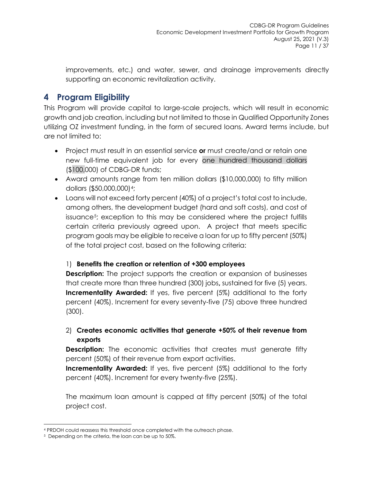improvements, etc.) and water, sewer, and drainage improvements directly supporting an economic revitalization activity.

## <span id="page-10-0"></span>**4 Program Eligibility**

This Program will provide capital to large-scale projects, which will result in economic growth and job creation, including but not limited to those in Qualified Opportunity Zones utilizing OZ investment funding, in the form of secured loans. Award terms include, but are not limited to:

- Project must result in an essential service **or** must create/and or retain one new full-time equivalent job for every one hundred thousand dollars (\$100,000) of CDBG-DR funds;
- Award amounts range from ten million dollars (\$10,000,000) to fifty million dollars (\$50,000,000)[4;](#page-10-1)
- Loans will not exceed forty percent (40%) of a project's total cost to include, among others, the development budget (hard and soft costs), and cost of issuanc[e5](#page-10-2); exception to this may be considered where the project fulfills certain criteria previously agreed upon. A project that meets specific program goals may be eligible to receive a loan for up to fifty percent (50%) of the total project cost, based on the following criteria:

#### 1) **Benefits the creation or retention of +300 employees**

**Description:** The project supports the creation or expansion of businesses that create more than three hundred (300) jobs**,** sustained for five (5) years. **Incrementality Awarded:** If yes, five percent (5%) additional to the forty percent (40%). Increment for every seventy-five (75) above three hundred (300).

#### 2) **Creates economic activities that generate +50% of their revenue from exports**

**Description:** The economic activities that creates must generate fifty percent (50%) of their revenue from export activities.

**Incrementality Awarded:** If yes, five percent (5%) additional to the forty percent (40%). Increment for every twenty-five (25%).

The maximum loan amount is capped at fifty percent (50%) of the total project cost.

<span id="page-10-1"></span> <sup>4</sup> PRDOH could reassess this threshold once completed with the outreach phase.

<span id="page-10-2"></span><sup>5</sup> Depending on the criteria, the loan can be up to 50%.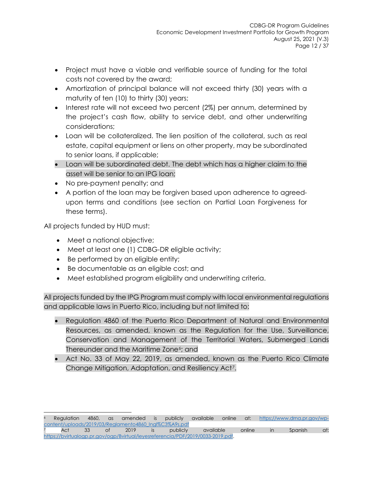- Project must have a viable and verifiable source of funding for the total costs not covered by the award;
- Amortization of principal balance will not exceed thirty (30) years with a maturity of ten (10) to thirty (30) years;
- Interest rate will not exceed two percent (2%) per annum, determined by the project's cash flow, ability to service debt, and other underwriting considerations;
- Loan will be collateralized. The lien position of the collateral, such as real estate, capital equipment or liens on other property, may be subordinated to senior loans, if applicable;
- Loan will be subordinated debt. The debt which has a higher claim to the asset will be senior to an IPG loan;
- No pre-payment penalty; and
- A portion of the loan may be forgiven based upon adherence to agreedupon terms and conditions (see section on Partial Loan Forgiveness for these terms).

All projects funded by HUD must:

- Meet a national objective;
- Meet at least one (1) CDBG-DR eligible activity;
- Be performed by an eligible entity;
- Be documentable as an eligible cost; and
- Meet established program eligibility and underwriting criteria.

All projects funded by the IPG Program must comply with local environmental regulations and applicable laws in Puerto Rico, including but not limited to:

- Regulation 4860 of the Puerto Rico Department of Natural and Environmental Resources, as amended, known as the Regulation for the Use, Surveillance, Conservation and Management of the Territorial Waters, Submerged Lands Thereunder and the Maritime Zone<sup>[6](#page-11-0)</sup>; and
- Act No. 33 of May 22, 2019, as amended, known as the Puerto Rico Climate Change Mitigation, Adaptation, and Resiliency Act[7](#page-11-1).

<span id="page-11-0"></span> <sup>6</sup> Regulation 4860, as amended is publicly available online at: [https://www.drna.pr.gov/wp](https://www.drna.pr.gov/wp-content/uploads/2019/03/Reglamento4860_Ingl%C3%A9s.pdf)[content/uploads/2019/03/Reglamento4860\\_Ingl%C3%A9s.pdf](https://www.drna.pr.gov/wp-content/uploads/2019/03/Reglamento4860_Ingl%C3%A9s.pdf)

<span id="page-11-1"></span>Act 33 of 2019 is publicly available online in Spanish at: [https://bvirtualogp.pr.gov/ogp/Bvirtual/leyesreferencia/PDF/2019/0033-2019.pdf.](https://bvirtualogp.pr.gov/ogp/Bvirtual/leyesreferencia/PDF/2019/0033-2019.pdf)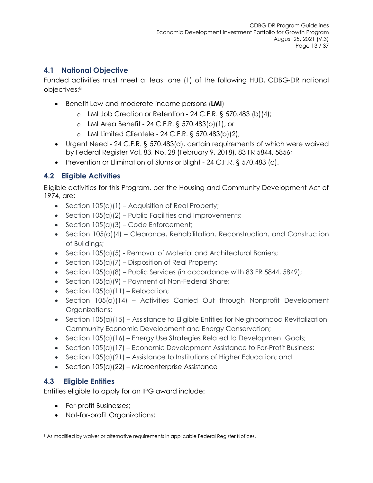#### <span id="page-12-0"></span>**4.1 National Objective**

Funded activities must meet at least one (1) of the following HUD, CDBG-DR national objectives:[8](#page-12-3)

- Benefit Low-and moderate-income persons (**LMI**)
	- $\circ$  LMI Job Creation or Retention 24 C.F.R. § 570.483 (b)(4);
	- o LMI Area Benefit 24 C.F.R. § 570.483(b)(1); or
	- o LMI Limited Clientele 24 C.F.R. § 570.483(b)(2);
- Urgent Need 24 C.F.R. § 570.483(d), certain requirements of which were waived by Federal Register Vol. 83, No. 28 (February 9, 2018), 83 FR 5844, 5856;
- Prevention or Elimination of Slums or Blight 24 C.F.R. § 570.483 (c).

#### <span id="page-12-1"></span>**4.2 Eligible Activities**

Eligible activities for this Program, per the Housing and Community Development Act of 1974, are:

- Section  $105(a)(1)$  Acquisition of Real Property;
- Section  $105(a)(2)$  Public Facilities and Improvements;
- Section 105(a)(3) Code Enforcement;
- Section 105(a)(4) Clearance, Rehabilitation, Reconstruction, and Construction of Buildings;
- Section 105(a)(5) Removal of Material and Architectural Barriers;
- Section  $105(a)(7)$  Disposition of Real Property;
- Section  $105(a)(8)$  Public Services (in accordance with 83 FR 5844, 5849);
- Section 105(a)(9) Payment of Non-Federal Share;
- Section  $105(a)(11)$  Relocation;
- Section 105(a)(14) Activities Carried Out through Nonprofit Development Organizations;
- Section 105(a)(15) Assistance to Eligible Entities for Neighborhood Revitalization, Community Economic Development and Energy Conservation;
- Section 105(a)(16) Energy Use Strategies Related to Development Goals;
- Section 105(a)(17) Economic Development Assistance to For-Profit Business;
- Section 105(a)(21) Assistance to Institutions of Higher Education; and
- <span id="page-12-2"></span>• Section 105(a)(22) – Microenterprise Assistance

#### **4.3 Eligible Entities**

Entities eligible to apply for an IPG award include:

- For-profit Businesses;
- Not-for-profit Organizations;

<span id="page-12-3"></span><sup>8</sup> As modified by waiver or alternative requirements in applicable Federal Register Notices.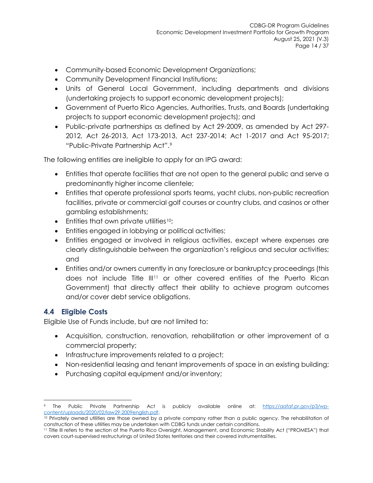- Community-based Economic Development Organizations;
- Community Development Financial Institutions;
- Units of General Local Government, including departments and divisions (undertaking projects to support economic development projects);
- Government of Puerto Rico Agencies, Authorities, Trusts, and Boards (undertaking projects to support economic development projects); and
- Public-private partnerships as defined by Act 29-2009, as amended by Act 297- 2012, Act 26-2013, Act 173-2013, Act 237-2014; Act 1-2017 and Act 95-2017; "Public-Private Partnership Act".[9](#page-13-1)

The following entities are ineligible to apply for an IPG award:

- Entities that operate facilities that are not open to the general public and serve a predominantly higher income clientele;
- Entities that operate professional sports teams, yacht clubs, non-public recreation facilities, private or commercial golf courses or country clubs, and casinos or other gambling establishments;
- Entities that own private utilities<sup>10</sup>;
- Entities engaged in lobbying or political activities;
- Entities engaged or involved in religious activities, except where expenses are clearly distinguishable between the organization's religious and secular activities; and
- Entities and/or owners currently in any foreclosure or bankruptcy proceedings (this does not include Title III<sup>[11](#page-13-3)</sup> or other covered entities of the Puerto Rican Government) that directly affect their ability to achieve program outcomes and/or cover debt service obligations.

#### <span id="page-13-0"></span>**4.4 Eligible Costs**

Eligible Use of Funds include, but are not limited to:

- Acquisition, construction, renovation, rehabilitation or other improvement of a commercial property;
- Infrastructure improvements related to a project;
- Non-residential leasing and tenant improvements of space in an existing building;
- Purchasing capital equipment and/or inventory;

<span id="page-13-1"></span>The Public Private Partnership Act is publicly available online at: [https://aafaf.pr.gov/p3/wp](https://aafaf.pr.gov/p3/wp-content/uploads/2020/02/law29-2009english.pdf)[content/uploads/2020/02/law29-2009english.pdf.](https://aafaf.pr.gov/p3/wp-content/uploads/2020/02/law29-2009english.pdf)

<span id="page-13-2"></span><sup>10</sup> Privately owned utilities are those owned by a private company rather than a public agency. The rehabilitation of construction of these utilities may be undertaken with CDBG funds under certain conditions.

<span id="page-13-3"></span><sup>11</sup> Title III refers to the section of the Puerto Rico Oversight, Management, and Economic Stability Act ("PROMESA") that covers court‐supervised restructurings of United States territories and their covered instrumentalities.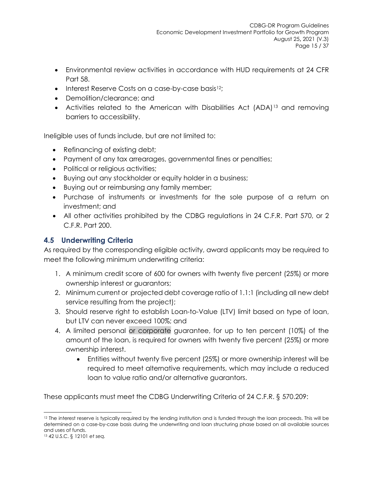- Environmental review activities in accordance with HUD requirements at 24 CFR Part 58.
- Interest Reserve Costs on a case-by-case basis<sup>12</sup>;
- Demolition/clearance; and
- Activities related to the American with Disabilities Act (ADA)<sup>[13](#page-14-2)</sup> and removing barriers to accessibility.

Ineligible uses of funds include, but are not limited to:

- Refinancing of existing debt;
- Payment of any tax arrearages, governmental fines or penalties;
- Political or religious activities;
- Buying out any stockholder or equity holder in a business;
- Buying out or reimbursing any family member;
- Purchase of instruments or investments for the sole purpose of a return on investment; and
- All other activities prohibited by the CDBG regulations in 24 C.F.R. Part 570, or 2 C.F.R. Part 200.

### <span id="page-14-0"></span>**4.5 Underwriting Criteria**

As required by the corresponding eligible activity, award applicants may be required to meet the following minimum underwriting criteria:

- 1. A minimum credit score of 600 for owners with twenty five percent (25%) or more ownership interest or guarantors;
- 2. Minimum current or projected debt coverage ratio of 1.1:1 (including all new debt service resulting from the project);
- 3. Should reserve right to establish Loan-to-Value (LTV) limit based on type of loan, but LTV can never exceed 100%; and
- 4. A limited personal or corporate guarantee, for up to ten percent (10%) of the amount of the loan, is required for owners with twenty five percent (25%) or more ownership interest.
	- Entities without twenty five percent (25%) or more ownership interest will be required to meet alternative requirements, which may include a reduced loan to value ratio and/or alternative guarantors.

These applicants must meet the CDBG Underwriting Criteria of 24 C.F.R. § 570.209:

<span id="page-14-1"></span><sup>&</sup>lt;sup>12</sup> The interest reserve is typically required by the lending institution and is funded through the loan proceeds. This will be determined on a case-by-case basis during the underwriting and loan structuring phase based on all available sources and uses of funds.

<span id="page-14-2"></span><sup>13</sup> 42 U.S.C. § 12101 *et seq.*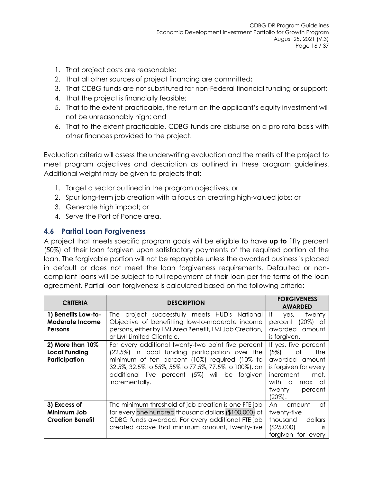- 1. That project costs are reasonable;
- 2. That all other sources of project financing are committed;
- 3. That CDBG funds are not substituted for non-Federal financial funding or support;
- 4. That the project is financially feasible;
- 5. That to the extent practicable, the return on the applicant's equity investment will not be unreasonably high; and
- 6. That to the extent practicable, CDBG funds are disburse on a pro rata basis with other finances provided to the project.

Evaluation criteria will assess the underwriting evaluation and the merits of the project to meet program objectives and description as outlined in these program guidelines. Additional weight may be given to projects that:

- 1. Target a sector outlined in the program objectives; or
- 2. Spur long-term job creation with a focus on creating high-valued jobs; or
- 3. Generate high impact; or
- 4. Serve the Port of Ponce area.

#### <span id="page-15-0"></span>**4.6 Partial Loan Forgiveness**

A project that meets specific program goals will be eligible to have **up to** fifty percent (50%) of their loan forgiven upon satisfactory payments of the required portion of the loan. The forgivable portion will not be repayable unless the awarded business is placed in default or does not meet the loan forgiveness requirements. Defaulted or noncompliant loans will be subject to full repayment of their loan per the terms of the loan agreement. Partial loan forgiveness is calculated based on the following criteria:

| <b>CRITERIA</b>                                           | <b>DESCRIPTION</b>                                                                                                                                                                                                                                                                 | <b>FORGIVENESS</b><br><b>AWARDED</b>                                                                                                                         |
|-----------------------------------------------------------|------------------------------------------------------------------------------------------------------------------------------------------------------------------------------------------------------------------------------------------------------------------------------------|--------------------------------------------------------------------------------------------------------------------------------------------------------------|
| 1) Benefits Low-to-                                       | project successfully meets HUD's National<br>The I                                                                                                                                                                                                                                 | Ιf<br>twenty<br>yes,<br>$(20\%)$ of                                                                                                                          |
| <b>Moderate Income</b><br><b>Persons</b>                  | Objective of benefitting low-to-moderate income<br>persons, either by LMI Area Benefit, LMI Job Creation,                                                                                                                                                                          | percent<br>awarded amount                                                                                                                                    |
|                                                           | or LMI Limited Clientele.                                                                                                                                                                                                                                                          | is forgiven.                                                                                                                                                 |
| 2) More than 10%<br><b>Local Funding</b><br>Participation | For every additional twenty-two point five percent<br>(22.5%) in local funding participation over the<br>minimum of ten percent (10%) required (10% to<br>32.5%, 32.5% to 55%, 55% to 77.5%, 77.5% to 100%), an<br>additional five percent (5%) will be forgiven<br>incrementally. | If yes, five percent<br>(5%)<br>of<br>the<br>awarded amount<br>is forgiven for every<br>increment<br>met.<br>with a<br>max ot<br>twenty<br>percent<br>(20%). |
| 3) Excess of<br>Minimum Job                               | The minimum threshold of job creation is one FTE job<br>for every one hundred thousand dollars (\$100,000) of                                                                                                                                                                      | Οf<br>An<br>amount<br>twenty-five                                                                                                                            |
| <b>Creation Benefit</b>                                   | CDBG funds awarded. For every additional FTE job<br>created above that minimum amount, twenty-five                                                                                                                                                                                 | thousand<br>dollars<br>(\$25,000)<br>İS.<br>forgiven for every                                                                                               |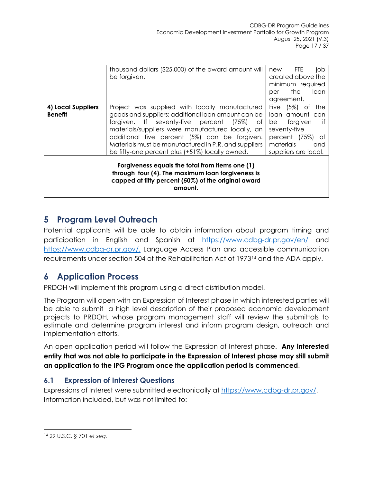|                                      | thousand dollars (\$25,000) of the award amount will<br>be forgiven.                                                                                                                                                                                                                                                                                                      | FTE.<br>job<br>new<br>created above the<br>minimum required<br>the<br>loan<br>per<br>agreement.                                                                   |
|--------------------------------------|---------------------------------------------------------------------------------------------------------------------------------------------------------------------------------------------------------------------------------------------------------------------------------------------------------------------------------------------------------------------------|-------------------------------------------------------------------------------------------------------------------------------------------------------------------|
| 4) Local Suppliers<br><b>Benefit</b> | Project was supplied with locally manufactured<br>goods and suppliers; additional loan amount can be<br>forgiven. If seventy-five percent<br>(75%)<br>Оf<br>materials/suppliers were manufactured locally, an<br>additional five percent (5%) can be forgiven.<br>Materials must be manufactured in P.R. and suppliers<br>be fifty-one percent plus (+51%) locally owned. | (5%)<br><b>Five</b><br>Οf<br>the<br>amount can<br>loan<br>if<br>forgiven<br>be<br>seventy-five<br>percent (75%)<br>0t<br>materials<br>and<br>suppliers are local. |
|                                      | Forgiveness equals the total from items one (1)<br>through four (4). The maximum loan forgiveness is<br>capped at fifty percent (50%) of the original award<br>amount.                                                                                                                                                                                                    |                                                                                                                                                                   |

## <span id="page-16-0"></span>**5 Program Level Outreach**

Potential applicants will be able to obtain information about program timing and participation in English and Spanish at <https://www.cdbg-dr.pr.gov/en/> and [https://www.cdbg-dr.pr.gov/.](https://www.cdbg-dr.pr.gov/) Language Access Plan and accessible communication requirements under section 504 of the Rehabilitation Act of 1973[14](#page-16-3) and the ADA apply.

## <span id="page-16-1"></span>**6 Application Process**

PRDOH will implement this program using a direct distribution model.

The Program will open with an Expression of Interest phase in which interested parties will be able to submit a high level description of their proposed economic development projects to PRDOH, whose program management staff will review the submittals to estimate and determine program interest and inform program design, outreach and implementation efforts.

An open application period will follow the Expression of Interest phase. **Any interested entity that was not able to participate in the Expression of Interest phase may still submit an application to the IPG Program once the application period is commenced**.

#### <span id="page-16-2"></span>**6.1 Expression of Interest Questions**

Expressions of Interest were submitted electronically at [https://www.cdbg-dr.pr.gov/.](https://www.cdbg-dr.pr.gov/) Information included, but was not limited to:

<span id="page-16-3"></span> <sup>14</sup> 29 U.S.C. § 701 *et seq.*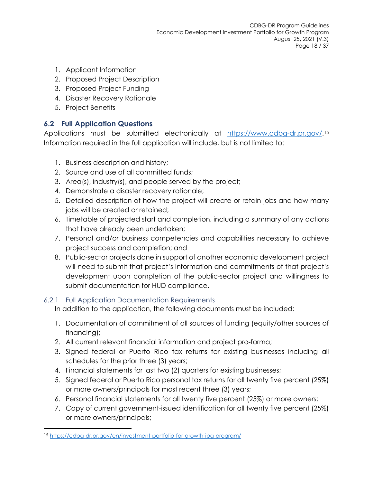- 1. Applicant Information
- 2. Proposed Project Description
- 3. Proposed Project Funding
- 4. Disaster Recovery Rationale
- 5. Project Benefits

#### <span id="page-17-0"></span>**6.2 Full Application Questions**

Applications must be submitted electronically at [https://www.cdbg-dr.pr.gov/.](https://www.cdbg-dr.pr.gov/)<sup>[15](#page-17-2)</sup> Information required in the full application will include, but is not limited to:

- 1. Business description and history;
- 2. Source and use of all committed funds;
- 3. Area(s), industry(s), and people served by the project;
- 4. Demonstrate a disaster recovery rationale;
- 5. Detailed description of how the project will create or retain jobs and how many jobs will be created or retained;
- 6. Timetable of projected start and completion, including a summary of any actions that have already been undertaken;
- 7. Personal and/or business competencies and capabilities necessary to achieve project success and completion; and
- 8. Public-sector projects done in support of another economic development project will need to submit that project's information and commitments of that project's development upon completion of the public-sector project and willingness to submit documentation for HUD compliance.

#### 6.2.1 Full Application Documentation Requirements

<span id="page-17-1"></span>In addition to the application, the following documents must be included:

- 1. Documentation of commitment of all sources of funding (equity/other sources of financing);
- 2. All current relevant financial information and project pro-forma;
- 3. Signed federal or Puerto Rico tax returns for existing businesses including all schedules for the prior three (3) years;
- 4. Financial statements for last two (2) quarters for existing businesses;
- 5. Signed federal or Puerto Rico personal tax returns for all twenty five percent (25%) or more owners/principals for most recent three (3) years;
- 6. Personal financial statements for all twenty five percent (25%) or more owners;
- 7. Copy of current government-issued identification for all twenty five percent (25%) or more owners/principals;

<span id="page-17-2"></span> <sup>15</sup> <https://cdbg-dr.pr.gov/en/investment-portfolio-for-growth-ipg-program/>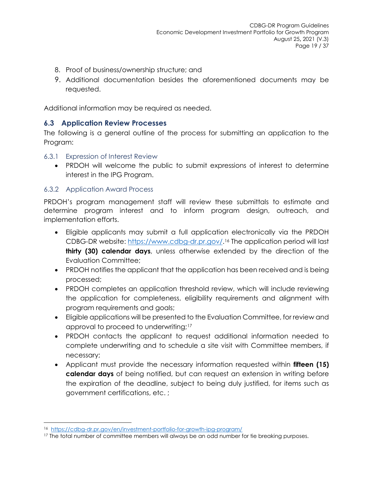- 8. Proof of business/ownership structure; and
- 9. Additional documentation besides the aforementioned documents may be requested.

Additional information may be required as needed.

#### <span id="page-18-0"></span>**6.3 Application Review Processes**

The following is a general outline of the process for submitting an application to the Program:

#### <span id="page-18-1"></span>6.3.1 Expression of Interest Review

• PRDOH will welcome the public to submit expressions of interest to determine interest in the IPG Program.

#### <span id="page-18-2"></span>6.3.2 Application Award Process

PRDOH's program management staff will review these submittals to estimate and determine program interest and to inform program design, outreach, and implementation efforts.

- Eligible applicants may submit a full application electronically via the PRDOH CDBG-DR website: [https://www.cdbg-dr.pr.gov/.](https://www.cdbg-dr.pr.gov/)[16](#page-18-3) The application period will last **thirty (30) calendar days**, unless otherwise extended by the direction of the Evaluation Committee;
- PRDOH notifies the applicant that the application has been received and is being processed;
- PRDOH completes an application threshold review, which will include reviewing the application for completeness, eligibility requirements and alignment with program requirements and goals;
- Eligible applications will be presented to the Evaluation Committee, for review and approval to proceed to underwriting;[17](#page-18-4)
- PRDOH contacts the applicant to request additional information needed to complete underwriting and to schedule a site visit with Committee members, if necessary;
- Applicant must provide the necessary information requested within **fifteen (15) calendar days** of being notified, but can request an extension in writing before the expiration of the deadline, subject to being duly justified, for items such as government certifications, etc. ;

<span id="page-18-3"></span> <sup>16</sup> <https://cdbg-dr.pr.gov/en/investment-portfolio-for-growth-ipg-program/>

<span id="page-18-4"></span><sup>&</sup>lt;sup>17</sup> The total number of committee members will always be an odd number for tie breaking purposes.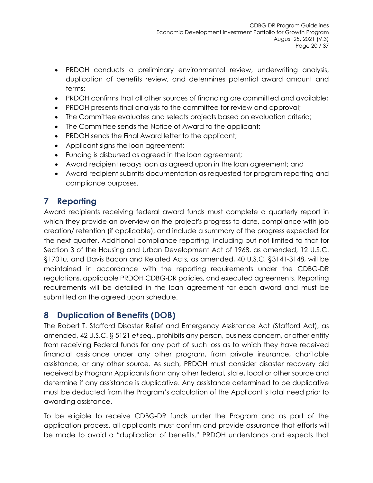- PRDOH conducts a preliminary environmental review, underwriting analysis, duplication of benefits review, and determines potential award amount and terms;
- PRDOH confirms that all other sources of financing are committed and available;
- PRDOH presents final analysis to the committee for review and approval;
- The Committee evaluates and selects projects based on evaluation criteria;
- The Committee sends the Notice of Award to the applicant;
- PRDOH sends the Final Award letter to the applicant;
- Applicant signs the loan agreement;
- Funding is disbursed as agreed in the loan agreement;
- Award recipient repays loan as agreed upon in the loan agreement; and
- Award recipient submits documentation as requested for program reporting and compliance purposes.

## <span id="page-19-0"></span>**7 Reporting**

Award recipients receiving federal award funds must complete a quarterly report in which they provide an overview on the project's progress to date, compliance with job creation/ retention (if applicable), and include a summary of the progress expected for the next quarter. Additional compliance reporting, including but not limited to that for Section 3 of the Housing and Urban Development Act of 1968, as amended, 12 U.S.C. §1701u, and Davis Bacon and Related Acts, as amended, 40 U.S.C. §3141-3148, will be maintained in accordance with the reporting requirements under the CDBG-DR regulations, applicable PRDOH CDBG-DR policies, and executed agreements. Reporting requirements will be detailed in the loan agreement for each award and must be submitted on the agreed upon schedule.

## <span id="page-19-1"></span>**8 Duplication of Benefits (DOB)**

The Robert T. Stafford Disaster Relief and Emergency Assistance Act (Stafford Act), as amended, 42 U.S.C. § 5121 *et seq*., prohibits any person, business concern, or other entity from receiving Federal funds for any part of such loss as to which they have received financial assistance under any other program, from private insurance, charitable assistance, or any other source. As such, PRDOH must consider disaster recovery aid received by Program Applicants from any other federal, state, local or other source and determine if any assistance is duplicative. Any assistance determined to be duplicative must be deducted from the Program's calculation of the Applicant's total need prior to awarding assistance.

To be eligible to receive CDBG-DR funds under the Program and as part of the application process, all applicants must confirm and provide assurance that efforts will be made to avoid a "duplication of benefits." PRDOH understands and expects that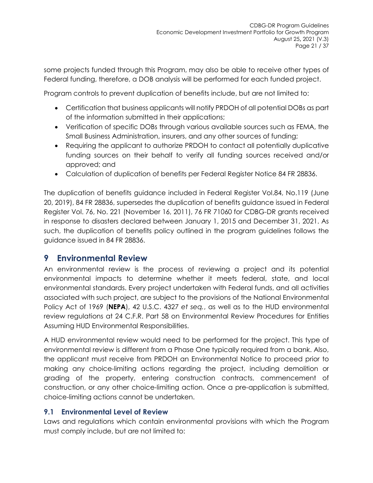some projects funded through this Program, may also be able to receive other types of Federal funding, therefore, a DOB analysis will be performed for each funded project.

Program controls to prevent duplication of benefits include, but are not limited to:

- Certification that business applicants will notify PRDOH of all potential DOBs as part of the information submitted in their applications;
- Verification of specific DOBs through various available sources such as FEMA, the Small Business Administration, insurers, and any other sources of funding;
- Requiring the applicant to authorize PRDOH to contact all potentially duplicative funding sources on their behalf to verify all funding sources received and/or approved; and
- Calculation of duplication of benefits per Federal Register Notice 84 FR 28836.

The duplication of benefits guidance included in Federal Register Vol.84, No.119 (June 20, 2019), 84 FR 28836, supersedes the duplication of benefits guidance issued in Federal Register Vol. 76, No. 221 (November 16, 2011), 76 FR 71060 for CDBG-DR grants received in response to disasters declared between January 1, 2015 and December 31, 2021. As such, the duplication of benefits policy outlined in the program guidelines follows the guidance issued in 84 FR 28836.

## <span id="page-20-0"></span>**9 Environmental Review**

An environmental review is the process of reviewing a project and its potential environmental impacts to determine whether it meets federal, state, and local environmental standards. Every project undertaken with Federal funds, and all activities associated with such project, are subject to the provisions of the National Environmental Policy Act of 1969 (**NEPA**), 42 U.S.C. 4327 *et seq.*, as well as to the HUD environmental review regulations at 24 C.F.R. Part 58 on Environmental Review Procedures for Entities Assuming HUD Environmental Responsibilities.

A HUD environmental review would need to be performed for the project. This type of environmental review is different from a Phase One typically required from a bank. Also, the applicant must receive from PRDOH an Environmental Notice to proceed prior to making any choice-limiting actions regarding the project, including demolition or grading of the property, entering construction contracts, commencement of construction, or any other choice-limiting action. Once a pre-application is submitted, choice-limiting actions cannot be undertaken.

#### <span id="page-20-1"></span>**9.1 Environmental Level of Review**

Laws and regulations which contain environmental provisions with which the Program must comply include, but are not limited to: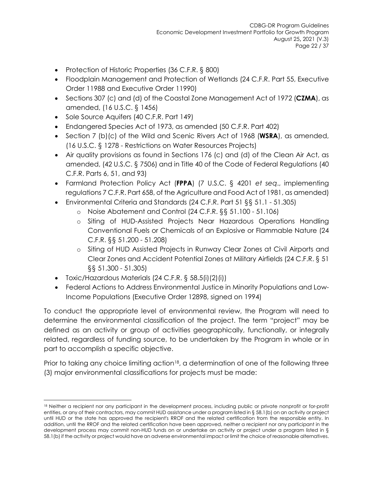- Protection of Historic Properties (36 C.F.R. § 800)
- Floodplain Management and Protection of Wetlands (24 C.F.R. Part 55, Executive Order 11988 and Executive Order 11990)
- Sections 307 (c) and (d) of the Coastal Zone Management Act of 1972 (**CZMA**), as amended, (16 U.S.C. § 1456)
- Sole Source Aquifers (40 C.F.R. Part 149)
- Endangered Species Act of 1973, as amended (50 C.F.R. Part 402)
- Section 7 (b)(c) of the Wild and Scenic Rivers Act of 1968 (**WSRA**), as amended, (16 U.S.C. § 1278 - Restrictions on Water Resources Projects)
- Air quality provisions as found in Sections 176 (c) and (d) of the Clean Air Act, as amended, (42 U.S.C. § 7506) and in Title 40 of the Code of Federal Regulations (40 C.F.R. Parts 6, 51, and 93)
- Farmland Protection Policy Act (**FPPA**) (7 U.S.C. § 4201 *et seq*., implementing regulations 7 C.F.R. Part 658, of the Agriculture and Food Act of 1981, as amended)
- Environmental Criteria and Standards (24 C.F.R. Part 51 §§ 51.1 51.305)
	- o Noise Abatement and Control (24 C.F.R. §§ 51.100 51.106)
		- o Siting of HUD-Assisted Projects Near Hazardous Operations Handling Conventional Fuels or Chemicals of an Explosive or Flammable Nature (24 C.F.R. §§ 51.200 - 51.208)
		- o Siting of HUD Assisted Projects in Runway Clear Zones at Civil Airports and Clear Zones and Accident Potential Zones at Military Airfields (24 C.F.R. § 51 §§ 51.300 - 51.305)
- Toxic/Hazardous Materials (24 C.F.R. § 58.5(i)(2)(i))
- Federal Actions to Address Environmental Justice in Minority Populations and Low-Income Populations (Executive Order 12898, signed on 1994)

To conduct the appropriate level of environmental review, the Program will need to determine the environmental classification of the project. The term "project" may be defined as an activity or group of activities geographically, functionally, or integrally related, regardless of funding source, to be undertaken by the Program in whole or in part to accomplish a specific objective.

Prior to taking any choice limiting action<sup>18</sup>, a determination of one of the following three (3) major environmental classifications for projects must be made:

<span id="page-21-0"></span><sup>18</sup> Neither a recipient nor any participant in the development process, including public or private nonprofit or for-profit entities, or any of their contractors, may commit HUD assistance under a program listed in § 58.1(b) on an activity or project until HUD or the state has approved the recipient's RROF and the related certification from the responsible entity. In addition, until the RROF and the related certification have been approved, neither a recipient nor any participant in the development process may commit non-HUD funds on or undertake an activity or project under a program listed in § 58.1(b) if the activity or project would have an adverse environmental impact or limit the choice of reasonable alternatives.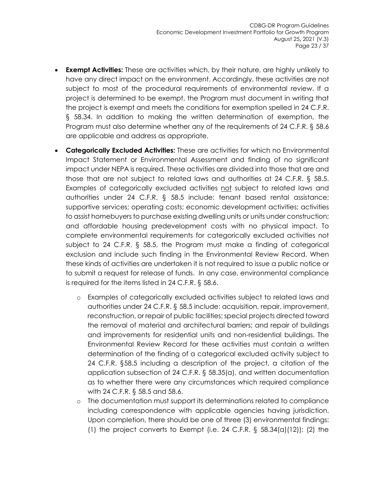- **Exempt Activities:** These are activities which, by their nature, are highly unlikely to have any direct impact on the environment. Accordingly, these activities are not subject to most of the procedural requirements of environmental review. If a project is determined to be exempt, the Program must document in writing that the project is exempt and meets the conditions for exemption spelled in 24 C.F.R. § 58.34. In addition to making the written determination of exemption, the Program must also determine whether any of the requirements of 24 C.F.R. § 58.6 are applicable and address as appropriate.
- **Categorically Excluded Activities:** These are activities for which no Environmental Impact Statement or Environmental Assessment and finding of no significant impact under NEPA is required. These activities are divided into those that are and those that are not subject to related laws and authorities at 24 C.F.R. § 58.5. Examples of categorically excluded activities not subject to related laws and authorities under 24 C.F.R. § 58.5 include: tenant based rental assistance; supportive services; operating costs; economic development activities; activities to assist homebuyers to purchase existing dwelling units or units under construction; and affordable housing predevelopment costs with no physical impact. To complete environmental requirements for categorically excluded activities not subject to 24 C.F.R. § 58.5, the Program must make a finding of categorical exclusion and include such finding in the Environmental Review Record. When these kinds of activities are undertaken it is not required to issue a public notice or to submit a request for release of funds. In any case, environmental compliance is required for the items listed in 24 C.F.R. § 58.6.
	- o Examples of categorically excluded activities subject to related laws and authorities under 24 C.F.R. § 58.5 include: acquisition, repair, improvement, reconstruction, or repair of public facilities; special projects directed toward the removal of material and architectural barriers; and repair of buildings and improvements for residential units and non-residential buildings. The Environmental Review Record for these activities must contain a written determination of the finding of a categorical excluded activity subject to 24 C.F.R. §58.5 including a description of the project, a citation of the application subsection of 24 C.F.R. § 58.35(a), and written documentation as to whether there were any circumstances which required compliance with 24 C.F.R. § 58.5 and 58.6.
	- o The documentation must support its determinations related to compliance including correspondence with applicable agencies having jurisdiction. Upon completion, there should be one of three (3) environmental findings: (1) the project converts to Exempt (i.e. 24 C.F.R.  $\S$  58.34(a)(12)); (2) the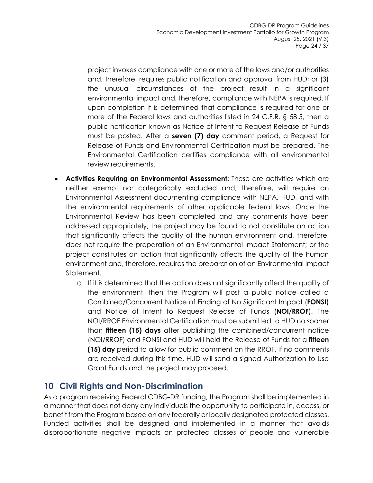project invokes compliance with one or more of the laws and/or authorities and, therefore, requires public notification and approval from HUD; or (3) the unusual circumstances of the project result in a significant environmental impact and, therefore, compliance with NEPA is required. If upon completion it is determined that compliance is required for one or more of the Federal laws and authorities listed in 24 C.F.R. § 58.5, then a public notification known as Notice of Intent to Request Release of Funds must be posted. After a **seven (7) day** comment period, a Request for Release of Funds and Environmental Certification must be prepared. The Environmental Certification certifies compliance with all environmental review requirements.

- **Activities Requiring an Environmental Assessment:** These are activities which are neither exempt nor categorically excluded and, therefore, will require an Environmental Assessment documenting compliance with NEPA, HUD, and with the environmental requirements of other applicable federal laws. Once the Environmental Review has been completed and any comments have been addressed appropriately, the project may be found to not constitute an action that significantly affects the quality of the human environment and, therefore, does not require the preparation of an Environmental Impact Statement; or the project constitutes an action that significantly affects the quality of the human environment and, therefore, requires the preparation of an Environmental Impact Statement.
	- o If it is determined that the action does not significantly affect the quality of the environment, then the Program will post a public notice called a Combined/Concurrent Notice of Finding of No Significant Impact (**FONSI**) and Notice of Intent to Request Release of Funds (**NOI/RROF**). The NOI/RROF Environmental Certification must be submitted to HUD no sooner than **fifteen (15) days** after publishing the combined/concurrent notice (NOI/RROF) and FONSI and HUD will hold the Release of Funds for a **fifteen (15) day** period to allow for public comment on the RROF. If no comments are received during this time, HUD will send a signed Authorization to Use Grant Funds and the project may proceed.

## <span id="page-23-0"></span>**10 Civil Rights and Non-Discrimination**

As a program receiving Federal CDBG-DR funding, the Program shall be implemented in a manner that does not deny any individuals the opportunity to participate in, access, or benefit from the Program based on any federally or locally designated protected classes. Funded activities shall be designed and implemented in a manner that avoids disproportionate negative impacts on protected classes of people and vulnerable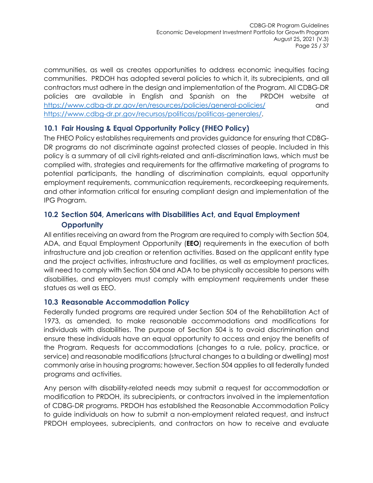communities, as well as creates opportunities to address economic inequities facing communities. PRDOH has adopted several policies to which it, its subrecipients, and all contractors must adhere in the design and implementation of the Program. All CDBG-DR policies are available in English and Spanish on the PRDOH website at <https://www.cdbg-dr.pr.gov/en/resources/policies/general-policies/> and [https://www.cdbg-dr.pr.gov/recursos/politicas/politicas-generales/.](https://www.cdbg-dr.pr.gov/recursos/politicas/politicas-generales/)

#### <span id="page-24-0"></span>**10.1 Fair Housing & Equal Opportunity Policy (FHEO Policy)**

The FHEO Policy establishes requirements and provides guidance for ensuring that CDBG-DR programs do not discriminate against protected classes of people. Included in this policy is a summary of all civil rights-related and anti-discrimination laws, which must be complied with, strategies and requirements for the affirmative marketing of programs to potential participants, the handling of discrimination complaints, equal opportunity employment requirements, communication requirements, recordkeeping requirements, and other information critical for ensuring compliant design and implementation of the IPG Program.

#### <span id="page-24-1"></span>**10.2 Section 504, Americans with Disabilities Act, and Equal Employment Opportunity**

All entities receiving an award from the Program are required to comply with Section 504, ADA, and Equal Employment Opportunity (**EEO**) requirements in the execution of both infrastructure and job creation or retention activities. Based on the applicant entity type and the project activities, infrastructure and facilities, as well as employment practices, will need to comply with Section 504 and ADA to be physically accessible to persons with disabilities, and employers must comply with employment requirements under these statues as well as EEO.

#### <span id="page-24-2"></span>**10.3 Reasonable Accommodation Policy**

Federally funded programs are required under Section 504 of the Rehabilitation Act of 1973, as amended, to make reasonable accommodations and modifications for individuals with disabilities. The purpose of Section 504 is to avoid discrimination and ensure these individuals have an equal opportunity to access and enjoy the benefits of the Program. Requests for accommodations (changes to a rule, policy, practice, or service) and reasonable modifications (structural changes to a building or dwelling) most commonly arise in housing programs; however, Section 504 applies to all federally funded programs and activities.

Any person with disability-related needs may submit a request for accommodation or modification to PRDOH, its subrecipients, or contractors involved in the implementation of CDBG-DR programs. PRDOH has established the Reasonable Accommodation Policy to guide individuals on how to submit a non-employment related request, and instruct PRDOH employees, subrecipients, and contractors on how to receive and evaluate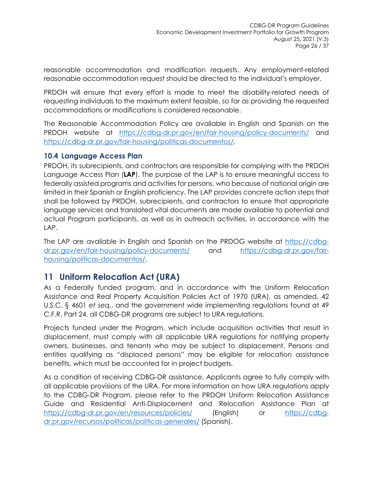reasonable accommodation and modification requests. Any employment-related reasonable accommodation request should be directed to the individual's employer.

PRDOH will ensure that every effort is made to meet the disability-related needs of requesting individuals to the maximum extent feasible, so far as providing the requested accommodations or modifications is considered reasonable.

The Reasonable Accommodation Policy are available in English and Spanish on the PRDOH website at <https://cdbg-dr.pr.gov/en/fair-housing/policy-documents/> and [https://cdbg-dr.pr.gov/fair-housing/politicas-documentos/.](https://cdbg-dr.pr.gov/fair-housing/politicas-documentos/)

#### <span id="page-25-0"></span>**10.4 Language Access Plan**

PRDOH, its subrecipients, and contractors are responsible for complying with the PRDOH Language Access Plan (**LAP**). The purpose of the LAP is to ensure meaningful access to federally assisted programs and activities for persons, who because of national origin are limited in their Spanish or English proficiency. The LAP provides concrete action steps that shall be followed by PRDOH, subrecipients, and contractors to ensure that appropriate language services and translated vital documents are made available to potential and actual Program participants, as well as in outreach activities, in accordance with the LAP.

The LAP are available in English and Spanish on the PRDOG website at [https://cdbg](https://cdbg-dr.pr.gov/en/fair-housing/policy-documents/)[dr.pr.gov/en/fair-housing/policy-documents/](https://cdbg-dr.pr.gov/en/fair-housing/policy-documents/) and [https://cdbg-dr.pr.gov/fair](https://cdbg-dr.pr.gov/fair-housing/politicas-documentos/)[housing/politicas-documentos/.](https://cdbg-dr.pr.gov/fair-housing/politicas-documentos/)

## <span id="page-25-1"></span>**11 Uniform Relocation Act (URA)**

As a Federally funded program, and in accordance with the Uniform Relocation Assistance and Real Property Acquisition Policies Act of 1970 (URA), as amended, 42 U.S.C. § 4601 *et seq.*, and the government wide implementing regulations found at 49 C.F.R. Part 24, all CDBG-DR programs are subject to URA regulations.

Projects funded under the Program, which include acquisition activities that result in displacement, must comply with all applicable URA regulations for notifying property owners, businesses, and tenants who may be subject to displacement. Persons and entities qualifying as "displaced persons" may be eligible for relocation assistance benefits, which must be accounted for in project budgets.

As a condition of receiving CDBG-DR assistance, Applicants agree to fully comply with all applicable provisions of the URA. For more information on how URA regulations apply to the CDBG-DR Program, please refer to the PRDOH Uniform Relocation Assistance Guide and Residential Anti-Displacement and Relocation Assistance Plan at <https://cdbg-dr.pr.gov/en/resources/policies/> (English) or [https://cdbg](https://cdbg-dr.pr.gov/recursos/politicas/politicas-generales/)[dr.pr.gov/recursos/politicas/politicas-generales/](https://cdbg-dr.pr.gov/recursos/politicas/politicas-generales/) (Spanish).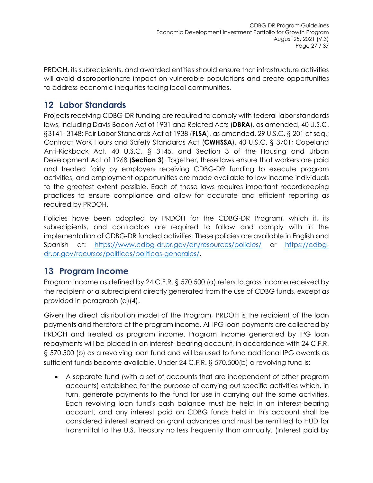PRDOH, its subrecipients, and awarded entities should ensure that infrastructure activities will avoid disproportionate impact on vulnerable populations and create opportunities to address economic inequities facing local communities.

## <span id="page-26-0"></span>**12 Labor Standards**

Projects receiving CDBG-DR funding are required to comply with federal labor standards laws, including Davis-Bacon Act of 1931 and Related Acts (**DBRA**), as amended, 40 U.S.C. §3141- 3148; Fair Labor Standards Act of 1938 (**FLSA**), as amended, 29 U.S.C. § 201 et seq.; Contract Work Hours and Safety Standards Act (**CWHSSA**), 40 U.S.C. § 3701; Copeland Anti-Kickback Act, 40 U.S.C. § 3145, and Section 3 of the Housing and Urban Development Act of 1968 (**Section 3**). Together, these laws ensure that workers are paid and treated fairly by employers receiving CDBG-DR funding to execute program activities, and employment opportunities are made available to low income individuals to the greatest extent possible. Each of these laws requires important recordkeeping practices to ensure compliance and allow for accurate and efficient reporting as required by PRDOH.

Policies have been adopted by PRDOH for the CDBG-DR Program, which it, its subrecipients, and contractors are required to follow and comply with in the implementation of CDBG-DR funded activities. These policies are available in English and Spanish at: <https://www.cdbg-dr.pr.gov/en/resources/policies/> or [https://cdbg](https://cdbg-dr.pr.gov/recursos/politicas/politicas-generales/)[dr.pr.gov/recursos/politicas/politicas-generales/.](https://cdbg-dr.pr.gov/recursos/politicas/politicas-generales/)

## <span id="page-26-1"></span>**13 Program Income**

Program income as defined by 24 C.F.R. § 570.500 (a) refers to gross [income](https://www.law.cornell.edu/definitions/index.php?width=840&height=800&iframe=true&def_id=31ea9a12a77cf51b82fe3b9f8fd09d10&term_occur=999&term_src=Title:24:Subtitle:B:Chapter:V:Subchapter:C:Part:570:Subpart:J:570.500) received by the recipient or a subrecipient directly generated from the use of [CDBG funds,](https://www.law.cornell.edu/definitions/index.php?width=840&height=800&iframe=true&def_id=d3bc5d2ee66d745a10b7523cd24888b3&term_occur=999&term_src=Title:24:Subtitle:B:Chapter:V:Subchapter:C:Part:570:Subpart:J:570.500) except as provided in paragraph (a)(4).

Given the direct distribution model of the Program, PRDOH is the recipient of the loan payments and therefore of the program income. All IPG loan payments are collected by PRDOH and treated as program income. Program Income generated by IPG loan repayments will be placed in an interest- bearing account, in accordance with 24 C.F.R. § 570.500 (b) as a revolving loan fund and will be used to fund additional IPG awards as sufficient funds become available. Under 24 C.F.R. § 570.500(b) a revolving fund is:

• A separate fund (with a set of accounts that are independent of other program accounts) established for the purpose of carrying out specific activities which, in turn, generate payments to the fund for use in carrying out the same activities. Each revolving loan fund's cash balance must be held in an interest-bearing account, and any interest paid on CDBG funds held in this account shall be considered interest earned on grant advances and must be remitted to HUD for transmittal to the U.S. Treasury no less frequently than annually. (Interest paid by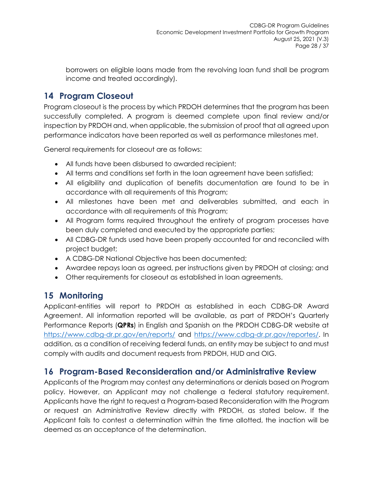borrowers on eligible loans made from the revolving loan fund shall be program income and treated accordingly).

## <span id="page-27-0"></span>**14 Program Closeout**

Program closeout is the process by which PRDOH determines that the program has been successfully completed. A program is deemed complete upon final review and/or inspection by PRDOH and, when applicable, the submission of proof that all agreed upon performance indicators have been reported as well as performance milestones met.

General requirements for closeout are as follows:

- All funds have been disbursed to awarded recipient;
- All terms and conditions set forth in the loan agreement have been satisfied;
- All eligibility and duplication of benefits documentation are found to be in accordance with all requirements of this Program;
- All milestones have been met and deliverables submitted, and each in accordance with all requirements of this Program;
- All Program forms required throughout the entirety of program processes have been duly completed and executed by the appropriate parties;
- All CDBG-DR funds used have been properly accounted for and reconciled with project budget;
- A CDBG-DR National Objective has been documented;
- Awardee repays loan as agreed, per instructions given by PRDOH at closing; and
- Other requirements for closeout as established in loan agreements.

## <span id="page-27-1"></span>**15 Monitoring**

Applicant-entities will report to PRDOH as established in each CDBG-DR Award Agreement. All information reported will be available, as part of PRDOH's Quarterly Performance Reports (**QPRs**) in English and Spanish on the PRDOH CDBG-DR website at <https://www.cdbg-dr.pr.gov/en/reports/> and [https://www.cdbg-dr.pr.gov/reportes/.](https://www.cdbg-dr.pr.gov/reportes/) In addition, as a condition of receiving federal funds, an entity may be subject to and must comply with audits and document requests from PRDOH, HUD and OIG.

## <span id="page-27-2"></span>**16 Program-Based Reconsideration and/or Administrative Review**

Applicants of the Program may contest any determinations or denials based on Program policy. However, an Applicant may not challenge a federal statutory requirement. Applicants have the right to request a Program-based Reconsideration with the Program or request an Administrative Review directly with PRDOH, as stated below. If the Applicant fails to contest a determination within the time allotted, the inaction will be deemed as an acceptance of the determination.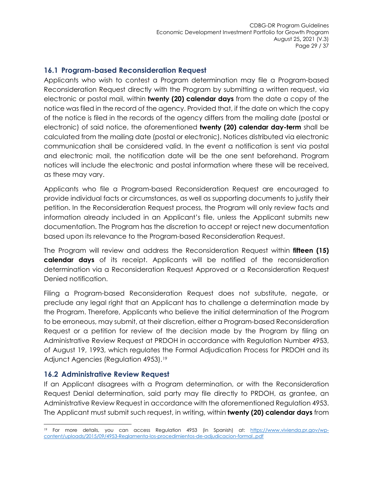#### <span id="page-28-0"></span>**16.1 Program-based Reconsideration Request**

Applicants who wish to contest a Program determination may file a Program-based Reconsideration Request directly with the Program by submitting a written request, via electronic or postal mail, within **twenty (20) calendar days** from the date a copy of the notice was filed in the record of the agency. Provided that, if the date on which the copy of the notice is filed in the records of the agency differs from the mailing date (postal or electronic) of said notice, the aforementioned **twenty (20) calendar day-term** shall be calculated from the mailing date (postal or electronic). Notices distributed via electronic communication shall be considered valid. In the event a notification is sent via postal and electronic mail, the notification date will be the one sent beforehand. Program notices will include the electronic and postal information where these will be received, as these may vary.

Applicants who file a Program-based Reconsideration Request are encouraged to provide individual facts or circumstances, as well as supporting documents to justify their petition. In the Reconsideration Request process, the Program will only review facts and information already included in an Applicant's file, unless the Applicant submits new documentation. The Program has the discretion to accept or reject new documentation based upon its relevance to the Program-based Reconsideration Request.

The Program will review and address the Reconsideration Request within **fifteen (15) calendar days** of its receipt. Applicants will be notified of the reconsideration determination via a Reconsideration Request Approved or a Reconsideration Request Denied notification.

Filing a Program-based Reconsideration Request does not substitute, negate, or preclude any legal right that an Applicant has to challenge a determination made by the Program. Therefore, Applicants who believe the initial determination of the Program to be erroneous, may submit, at their discretion, either a Program-based Reconsideration Request or a petition for review of the decision made by the Program by filing an Administrative Review Request at PRDOH in accordance with Regulation Number 4953, of August 19, 1993, which regulates the Formal Adjudication Process for PRDOH and its Adjunct Agencies (Regulation 4953).<sup>[19](#page-28-2)</sup>

#### <span id="page-28-1"></span>**16.2 Administrative Review Request**

If an Applicant disagrees with a Program determination, or with the Reconsideration Request Denial determination, said party may file directly to PRDOH, as grantee, an Administrative Review Request in accordance with the aforementioned Regulation 4953. The Applicant must submit such request, in writing, within **twenty (20) calendar days** from

<span id="page-28-2"></span> <sup>19</sup> For more details, you can access Regulation 4953 (in Spanish) at: [https://www.vivienda.pr.gov/wp](https://www.vivienda.pr.gov/wp-content/uploads/2015/09/4953-Reglamenta-los-procedimientos-de-adjudicacion-formal..pdf)[content/uploads/2015/09/4953-Reglamenta-los-procedimientos-de-adjudicacion-formal..pdf](https://www.vivienda.pr.gov/wp-content/uploads/2015/09/4953-Reglamenta-los-procedimientos-de-adjudicacion-formal..pdf)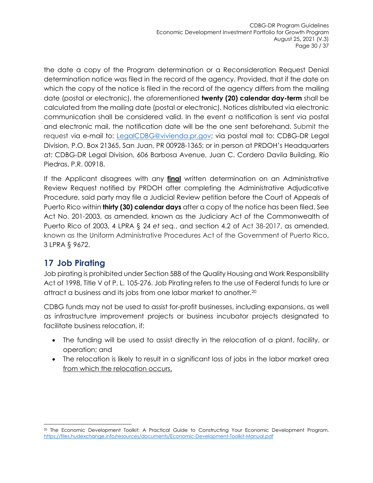the date a copy of the Program determination or a Reconsideration Request Denial determination notice was filed in the record of the agency. Provided, that if the date on which the copy of the notice is filed in the record of the agency differs from the mailing date (postal or electronic), the aforementioned **twenty (20) calendar day-term** shall be calculated from the mailing date (postal or electronic). Notices distributed via electronic communication shall be considered valid. In the event a notification is sent via postal and electronic mail, the notification date will be the one sent beforehand. Submit the request via e-mail to: [LegalCDBG@vivienda.pr.gov;](mailto:LegalCDBG@vivienda.pr.gov) via postal mail to: CDBG-DR Legal Division, P.O. Box 21365, San Juan, PR 00928-1365; or in person at PRDOH's Headquarters at: CDBG-DR Legal Division, 606 Barbosa Avenue, Juan C. Cordero Davila Building, Río Piedras, P.R. 00918.

If the Applicant disagrees with any **final** written determination on an Administrative Review Request notified by PRDOH after completing the Administrative Adjudicative Procedure, said party may file a Judicial Review petition before the Court of Appeals of Puerto Rico within **thirty (30) calendar days** after a copy of the notice has been filed. See Act No. 201-2003, as amended, known as the Judiciary Act of the Commonwealth of Puerto Rico of 2003, 4 LPRA § 24 *et seq.*, and section 4.2 of Act 38-2017, as amended, known as the Uniform Administrative Procedures Act of the Government of Puerto Rico, 3 LPRA § 9672.

## <span id="page-29-0"></span>**17 Job Pirating**

Job pirating is prohibited under Section 588 of the Quality Housing and Work Responsibility Act of 1998, Title V of P. L. 105-276. Job Pirating refers to the use of Federal funds to lure or attract a business and its jobs from one labor market to another.[20](#page-29-1)

CDBG funds may not be used to assist for-profit businesses, including expansions, as well as infrastructure improvement projects or business incubator projects designated to facilitate business relocation, if:

- The funding will be used to assist directly in the relocation of a plant, facility, or operation; and
- The relocation is likely to result in a significant loss of jobs in the labor market area from which the relocation occurs.

<span id="page-29-1"></span> <sup>20</sup> The Economic Development Toolkit: A Practical Guide to Constructing Your Economic Development Program. <https://files.hudexchange.info/resources/documents/Economic-Development-Toolkit-Manual.pdf>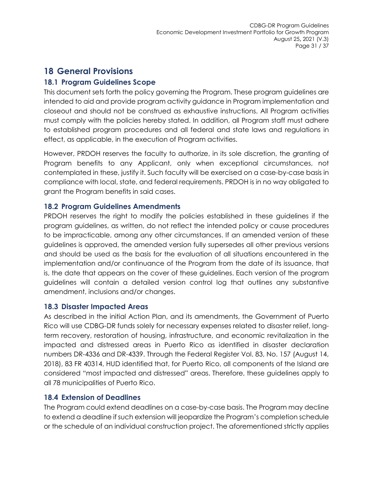## <span id="page-30-0"></span>**18 General Provisions**

#### <span id="page-30-1"></span>**18.1 Program Guidelines Scope**

This document sets forth the policy governing the Program. These program guidelines are intended to aid and provide program activity guidance in Program implementation and closeout and should not be construed as exhaustive instructions. All Program activities must comply with the policies hereby stated. In addition, all Program staff must adhere to established program procedures and all federal and state laws and regulations in effect, as applicable, in the execution of Program activities.

However, PRDOH reserves the faculty to authorize, in its sole discretion, the granting of Program benefits to any Applicant, only when exceptional circumstances, not contemplated in these, justify it. Such faculty will be exercised on a case-by-case basis in compliance with local, state, and federal requirements. PRDOH is in no way obligated to grant the Program benefits in said cases.

#### <span id="page-30-2"></span>**18.2 Program Guidelines Amendments**

PRDOH reserves the right to modify the policies established in these guidelines if the program guidelines, as written, do not reflect the intended policy or cause procedures to be impracticable, among any other circumstances. If an amended version of these guidelines is approved, the amended version fully supersedes all other previous versions and should be used as the basis for the evaluation of all situations encountered in the implementation and/or continuance of the Program from the date of its issuance, that is, the date that appears on the cover of these guidelines. Each version of the program guidelines will contain a detailed version control log that outlines any substantive amendment, inclusions and/or changes.

#### <span id="page-30-3"></span>**18.3 Disaster Impacted Areas**

As described in the initial Action Plan, and its amendments, the Government of Puerto Rico will use CDBG-DR funds solely for necessary expenses related to disaster relief, longterm recovery, restoration of housing, infrastructure, and economic revitalization in the impacted and distressed areas in Puerto Rico as identified in disaster declaration numbers DR-4336 and DR-4339. Through the Federal Register Vol. 83, No. 157 (August 14, 2018), 83 FR 40314, HUD identified that, for Puerto Rico, all components of the Island are considered "most impacted and distressed" areas. Therefore, these guidelines apply to all 78 municipalities of Puerto Rico.

#### <span id="page-30-4"></span>**18.4 Extension of Deadlines**

The Program could extend deadlines on a case-by-case basis. The Program may decline to extend a deadline if such extension will jeopardize the Program's completion schedule or the schedule of an individual construction project. The aforementioned strictly applies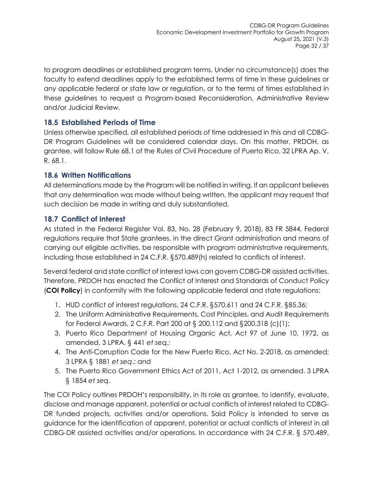to program deadlines or established program terms. Under no circumstance(s) does the faculty to extend deadlines apply to the established terms of time in these guidelines or any applicable federal or state law or regulation, or to the terms of times established in these guidelines to request a Program-based Reconsideration, Administrative Review and/or Judicial Review.

#### <span id="page-31-0"></span>**18.5 Established Periods of Time**

Unless otherwise specified, all established periods of time addressed in this and all CDBG-DR Program Guidelines will be considered calendar days. On this matter, PRDOH, as grantee, will follow Rule 68.1 of the Rules of Civil Procedure of Puerto Rico, 32 LPRA Ap. V, R. 68.1.

#### <span id="page-31-1"></span>**18.6 Written Notifications**

All determinations made by the Program will be notified in writing. If an applicant believes that any determination was made without being written, the applicant may request that such decision be made in writing and duly substantiated.

#### <span id="page-31-2"></span>**18.7 Conflict of Interest**

As stated in the Federal Register Vol. 83, No. 28 (February 9, 2018), 83 FR 5844, Federal regulations require that State grantees, in the direct Grant administration and means of carrying out eligible activities, be responsible with program administrative requirements, including those established in 24 C.F.R. §570.489(h) related to conflicts of interest.

Several federal and state conflict of interest laws can govern CDBG-DR assisted activities. Therefore, PRDOH has enacted the Conflict of Interest and Standards of Conduct Policy (**COI Policy**) in conformity with the following applicable federal and state regulations:

- 1. HUD conflict of interest regulations, 24 C.F.R. §570.611 and 24 C.F.R. §85.36;
- 2. The Uniform Administrative Requirements, Cost Principles, and Audit Requirements for Federal Awards, 2 C.F.R. Part 200 at § 200.112 and §200.318 (c)(1);
- 3. Puerto Rico Department of Housing Organic Act, Act 97 of June 10, 1972, as amended, 3 LPRA. § 441 *et seq.;*
- 4. The Anti-Corruption Code for the New Puerto Rico, Act No. 2-2018, as amended; 3 LPRA § 1881 *et seq*.; and
- 5. The Puerto Rico Government Ethics Act of 2011, Act 1-2012, as amended. 3 LPRA § 1854 *et seq*.

The COI Policy outlines PRDOH's responsibility, in its role as grantee, to identify, evaluate, disclose and manage apparent, potential or actual conflicts of interest related to CDBG-DR funded projects, activities and/or operations. Said Policy is intended to serve as guidance for the identification of apparent, potential or actual conflicts of interest in all CDBG-DR assisted activities and/or operations. In accordance with 24 C.F.R. § 570.489,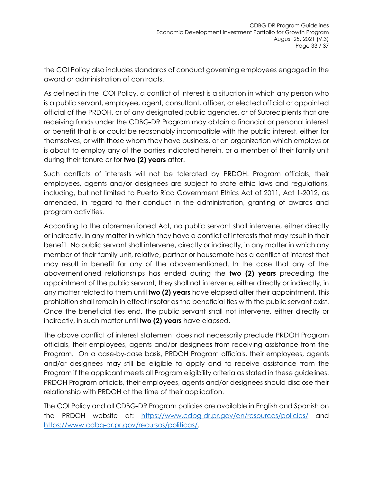the COI Policy also includes standards of conduct governing employees engaged in the award or administration of contracts.

As defined in the COI Policy, a conflict of interest is a situation in which any person who is a public servant, employee, agent, consultant, officer, or elected official or appointed official of the PRDOH, or of any designated public agencies, or of Subrecipients that are receiving funds under the CDBG-DR Program may obtain a financial or personal interest or benefit that is or could be reasonably incompatible with the public interest, either for themselves, or with those whom they have business, or an organization which employs or is about to employ any of the parties indicated herein, or a member of their family unit during their tenure or for **two (2) years** after.

Such conflicts of interests will not be tolerated by PRDOH. Program officials, their employees, agents and/or designees are subject to state ethic laws and regulations, including, but not limited to Puerto Rico Government Ethics Act of 2011, Act 1-2012, as amended, in regard to their conduct in the administration, granting of awards and program activities.

According to the aforementioned Act, no public servant shall intervene, either directly or indirectly, in any matter in which they have a conflict of interests that may result in their benefit. No public servant shall intervene, directly or indirectly, in any matter in which any member of their family unit, relative, partner or housemate has a conflict of interest that may result in benefit for any of the abovementioned. In the case that any of the abovementioned relationships has ended during the **two (2) years** preceding the appointment of the public servant, they shall not intervene, either directly or indirectly, in any matter related to them until **two (2) years** have elapsed after their appointment. This prohibition shall remain in effect insofar as the beneficial ties with the public servant exist. Once the beneficial ties end, the public servant shall not intervene, either directly or indirectly, in such matter until **two (2) years** have elapsed.

The above conflict of interest statement does not necessarily preclude PRDOH Program officials, their employees, agents and/or designees from receiving assistance from the Program. On a case-by-case basis, PRDOH Program officials, their employees, agents and/or designees may still be eligible to apply and to receive assistance from the Program if the applicant meets all Program eligibility criteria as stated in these guidelines. PRDOH Program officials, their employees, agents and/or designees should disclose their relationship with PRDOH at the time of their application.

The COI Policy and all CDBG-DR Program policies are available in English and Spanish on the PRDOH website at: <https://www.cdbg-dr.pr.gov/en/resources/policies/> and [https://www.cdbg-dr.pr.gov/recursos/politicas/.](https://www.cdbg-dr.pr.gov/recursos/politicas/)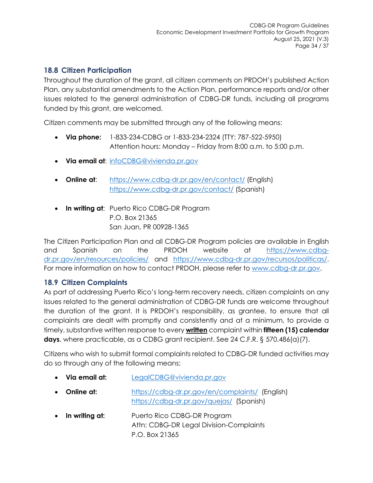#### <span id="page-33-0"></span>**18.8 Citizen Participation**

Throughout the duration of the grant, all citizen comments on PRDOH's published Action Plan, any substantial amendments to the Action Plan, performance reports and/or other issues related to the general administration of CDBG-DR funds, including all programs funded by this grant, are welcomed.

Citizen comments may be submitted through any of the following means:

- **Via phone:** 1-833-234-CDBG or 1-833-234-2324 (TTY: 787-522-5950) Attention hours: Monday – Friday from 8:00 a.m. to 5:00 p.m.
- **Via email at**: [infoCDBG@vivienda.pr.gov](mailto:infoCDBG@vivienda.pr.gov)
- **Online at**: <https://www.cdbg-dr.pr.gov/en/contact/> (English) <https://www.cdbg-dr.pr.gov/contact/> (Spanish)
- **In writing at**: Puerto Rico CDBG-DR Program P.O. Box 21365 San Juan, PR 00928-1365

The Citizen Participation Plan and all CDBG-DR Program policies are available in English and Spanish on the PRDOH website at [https://www.cdbg](https://www.cdbg-dr.pr.gov/en/resources/policies/)[dr.pr.gov/en/resources/policies/](https://www.cdbg-dr.pr.gov/en/resources/policies/) and [https://www.cdbg-dr.pr.gov/recursos/politicas/.](https://www.cdbg-dr.pr.gov/recursos/politicas/) For more information on how to contact PRDOH, please refer to [www.cdbg-dr.pr.gov.](http://www.cdbg-dr.pr.gov/)

#### <span id="page-33-1"></span>**18.9 Citizen Complaints**

As part of addressing Puerto Rico's long-term recovery needs, citizen complaints on any issues related to the general administration of CDBG-DR funds are welcome throughout the duration of the grant. It is PRDOH's responsibility, as grantee, to ensure that all complaints are dealt with promptly and consistently and at a minimum, to provide a timely, substantive written response to every **written** complaint within **fifteen (15) calendar days**, where practicable, as a CDBG grant recipient. See 24 C.F.R. § 570.486(a)(7).

Citizens who wish to submit formal complaints related to CDBG-DR funded activities may do so through any of the following means:

- **Via email at:** [LegalCDBG@vivienda.pr.gov](mailto:LegalCDBG@vivienda.pr.gov) • **Online at:** <https://cdbg-dr.pr.gov/en/complaints/>(English) <https://cdbg-dr.pr.gov/quejas/>(Spanish)
- **In writing at:** Puerto Rico CDBG-DR Program Attn: CDBG-DR Legal Division-Complaints P.O. Box 21365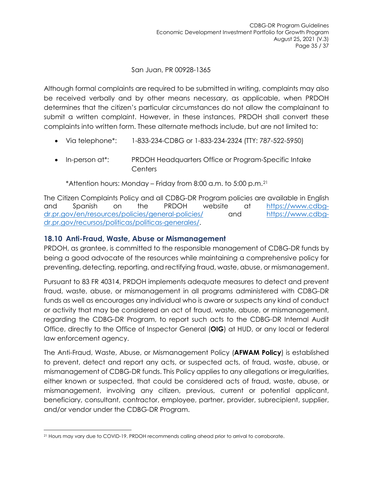#### San Juan, PR 00928-1365

Although formal complaints are required to be submitted in writing, complaints may also be received verbally and by other means necessary, as applicable, when PRDOH determines that the citizen's particular circumstances do not allow the complainant to submit a written complaint. However, in these instances, PRDOH shall convert these complaints into written form. These alternate methods include, but are not limited to:

- Via telephone\*: 1-833-234-CDBG or 1-833-234-2324 (TTY: 787-522-5950)
- In-person at\*: PRDOH Headquarters Office or Program-Specific Intake Centers

\*Attention hours: Monday – Friday from 8:00 a.m. to 5:00 p.m.[21](#page-34-1)

The Citizen Complaints Policy and all CDBG-DR Program policies are available in English and Spanish on the PRDOH website at [https://www.cdbg](https://www.cdbg-dr.pr.gov/en/resources/policies/general-policies/)[dr.pr.gov/en/resources/policies/general-policies/](https://www.cdbg-dr.pr.gov/en/resources/policies/general-policies/) and [https://www.cdbg](https://www.cdbg-dr.pr.gov/recursos/politicas/politicas-generales/)[dr.pr.gov/recursos/politicas/politicas-generales/.](https://www.cdbg-dr.pr.gov/recursos/politicas/politicas-generales/)

#### <span id="page-34-0"></span>**18.10 Anti-Fraud, Waste, Abuse or Mismanagement**

PRDOH, as grantee, is committed to the responsible management of CDBG-DR funds by being a good advocate of the resources while maintaining a comprehensive policy for preventing, detecting, reporting, and rectifying fraud, waste, abuse, or mismanagement.

Pursuant to 83 FR 40314, PRDOH implements adequate measures to detect and prevent fraud, waste, abuse, or mismanagement in all programs administered with CDBG-DR funds as well as encourages any individual who is aware or suspects any kind of conduct or activity that may be considered an act of fraud, waste, abuse, or mismanagement, regarding the CDBG-DR Program, to report such acts to the CDBG-DR Internal Audit Office, directly to the Office of Inspector General (**OIG**) at HUD, or any local or federal law enforcement agency.

The Anti-Fraud, Waste, Abuse, or Mismanagement Policy (**AFWAM Policy**) is established to prevent, detect and report any acts, or suspected acts, of fraud, waste, abuse, or mismanagement of CDBG-DR funds. This Policy applies to any allegations or irregularities, either known or suspected, that could be considered acts of fraud, waste, abuse, or mismanagement, involving any citizen, previous, current or potential applicant, beneficiary, consultant, contractor, employee, partner, provider, subrecipient, supplier, and/or vendor under the CDBG-DR Program.

<span id="page-34-1"></span> <sup>21</sup> Hours may vary due to COVID-19. PRDOH recommends calling ahead prior to arrival to corroborate.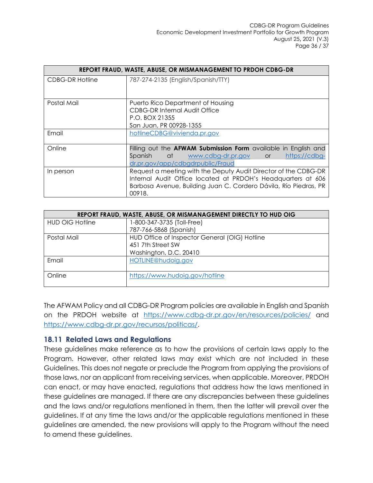| REPORT FRAUD, WASTE, ABUSE, OR MISMANAGEMENT TO PRDOH CDBG-DR |                                                                                                                                                                                                               |  |
|---------------------------------------------------------------|---------------------------------------------------------------------------------------------------------------------------------------------------------------------------------------------------------------|--|
| <b>CDBG-DR Hotline</b>                                        | 787-274-2135 (English/Spanish/TTY)                                                                                                                                                                            |  |
| Postal Mail                                                   | Puerto Rico Department of Housing<br>CDBG-DR Internal Audit Office<br>P.O. BOX 21355<br>San Juan, PR 00928-1355                                                                                               |  |
| Email                                                         | hotlineCDBG@vivienda.pr.gov                                                                                                                                                                                   |  |
| Online                                                        | Filling out the <b>AFWAM Submission Form</b> available in English and<br>https://cdbg-<br>Spanish<br>at a<br>www.cdbg-dr.pr.gov or<br>dr.pr.gov/app/cdbgdrpublic/Fraud                                        |  |
| In person                                                     | Request a meeting with the Deputy Audit Director of the CDBG-DR<br>Internal Audit Office located at PRDOH's Headquarters at 606<br>Barbosa Avenue, Building Juan C. Cordero Dávila, Río Piedras, PR<br>00918. |  |

|                        | REPORT FRAUD, WASTE, ABUSE, OR MISMANAGEMENT DIRECTLY TO HUD OIG |
|------------------------|------------------------------------------------------------------|
| <b>HUD OIG Hotline</b> | 1-800-347-3735 (Toll-Free)                                       |
|                        | 787-766-5868 (Spanish)                                           |
| Postal Mail            | HUD Office of Inspector General (OIG) Hotline                    |
|                        | 451 7th Street SW                                                |
|                        | Washington, D.C. 20410                                           |
| Email                  | HOTLINE@hudoig.gov                                               |
|                        |                                                                  |
| Online                 | https://www.hudoig.gov/hotline                                   |
|                        |                                                                  |

The AFWAM Policy and all CDBG-DR Program policies are available in English and Spanish on the PRDOH website at <https://www.cdbg-dr.pr.gov/en/resources/policies/> and [https://www.cdbg-dr.pr.gov/recursos/politicas/.](https://www.cdbg-dr.pr.gov/recursos/politicas/)

#### <span id="page-35-0"></span>**18.11 Related Laws and Regulations**

These guidelines make reference as to how the provisions of certain laws apply to the Program. However, other related laws may exist which are not included in these Guidelines. This does not negate or preclude the Program from applying the provisions of those laws, nor an applicant from receiving services, when applicable. Moreover, PRDOH can enact, or may have enacted, regulations that address how the laws mentioned in these guidelines are managed. If there are any discrepancies between these guidelines and the laws and/or regulations mentioned in them, then the latter will prevail over the guidelines. If at any time the laws and/or the applicable regulations mentioned in these guidelines are amended, the new provisions will apply to the Program without the need to amend these guidelines.